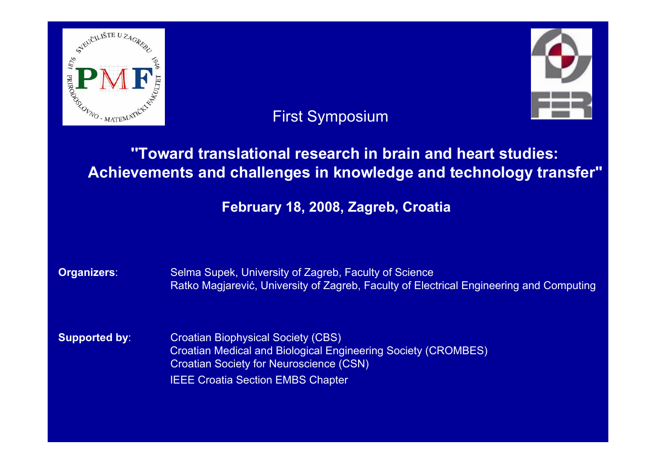

# First Symposium

# **''Toward translational research in brain and heart studies: Achievements and challenges in knowledge and technology transfer''**

# **February 18, 2008, Zagreb, Croatia**

| Organizers:          | Selma Supek, University of Zagreb, Faculty of Science<br>Ratko Magjarević, University of Zagreb, Faculty of Electrical Engineering and Computing                                                                |
|----------------------|-----------------------------------------------------------------------------------------------------------------------------------------------------------------------------------------------------------------|
| <b>Supported by:</b> | <b>Croatian Biophysical Society (CBS)</b><br><b>Croatian Medical and Biological Engineering Society (CROMBES)</b><br><b>Croatian Society for Neuroscience (CSN)</b><br><b>IEEE Croatia Section EMBS Chapter</b> |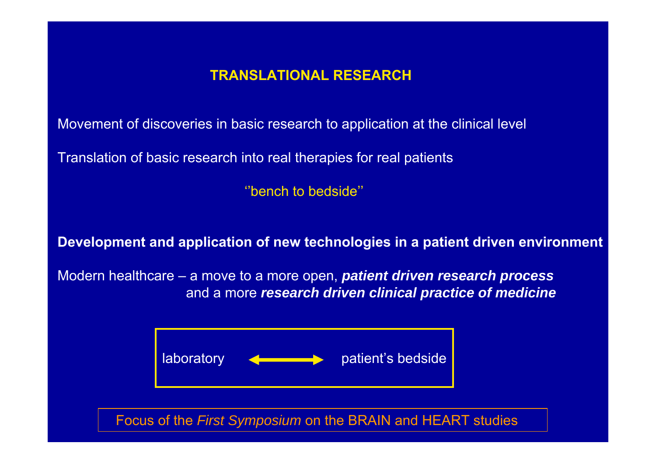## **TRANSLATIONAL RESEARCH**

Movement of discoveries in basic research to application at the clinical level

Translation of basic research into real therapies for real patients

''bench to bedside''

**Development and application of new technologies in a patient driven environment**

Modern healthcare – a move to a more open, *patient driven research process* and a more *research driven clinical practice of medicine*

Focus of the *First Symposium* on the BRAIN and HEART studies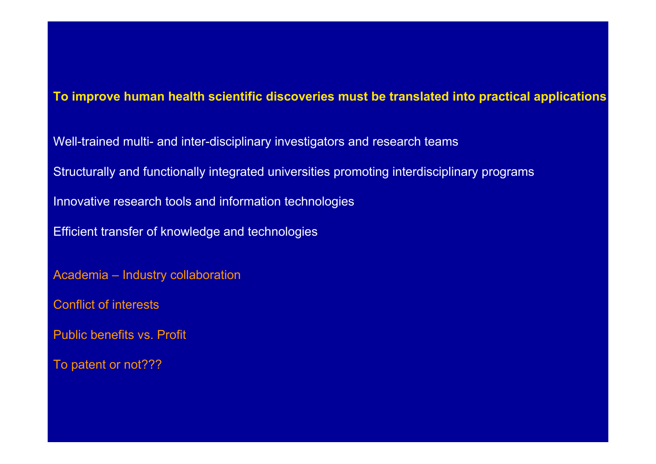### **To improve human health scientific discoveries must be translated into practical applications**

- Well-trained multi- and inter-disciplinary investigators and research teams
- Structurally and functionally integrated universities promoting interdisciplinary programs
- Innovative research tools and information technologies
- Efficient transfer of knowledge and technologies
- Academia Industry collaboration
- Conflict of interests
- Public benefits vs. Profit
- To patent or not???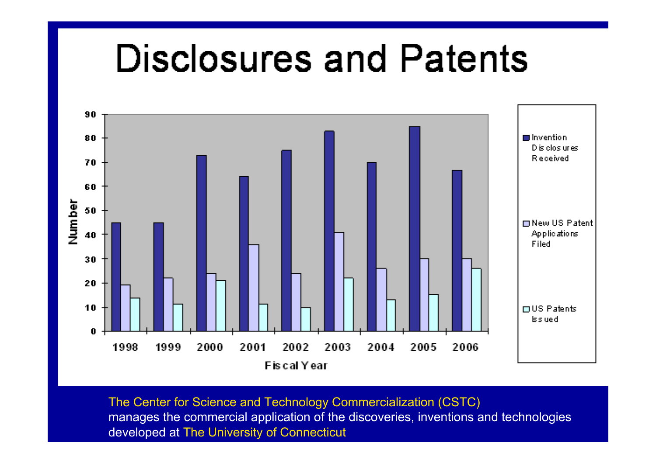# **Disclosures and Patents**



The Center for Science and Technology Commercialization (CSTC) manages the commercial application of the discoveries, inventions and technologies developed at The University of Connecticut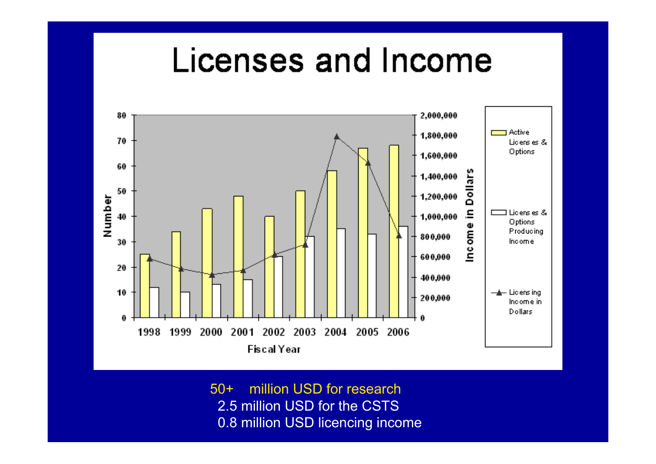# Licenses and Income



50+ million USD for research 2.5 million USD for the CSTS 0.8 million USD licencing income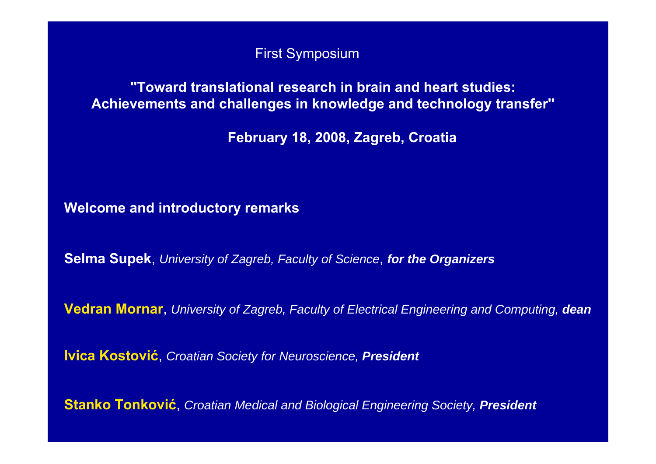First Symposium

### **''Toward translational research in brain and heart studies: Achievements and challenges in knowledge and technology transfer''**

**February 18, 2008, Zagreb, Croatia**

**Welcome and introductory remarks**

**Selma Supek**, *University of Zagreb, Faculty of Science*, *for the Organizers*

**Vedran Mornar**, *University of Zagreb, Faculty of Electrical Engineering and Computing, dean*

**Ivica Kostovi ć**, *Croatian Society for Neuroscience, President*

**Stanko Tonkovi ć**, *Croatian Medical and Biological Engineering Society, President*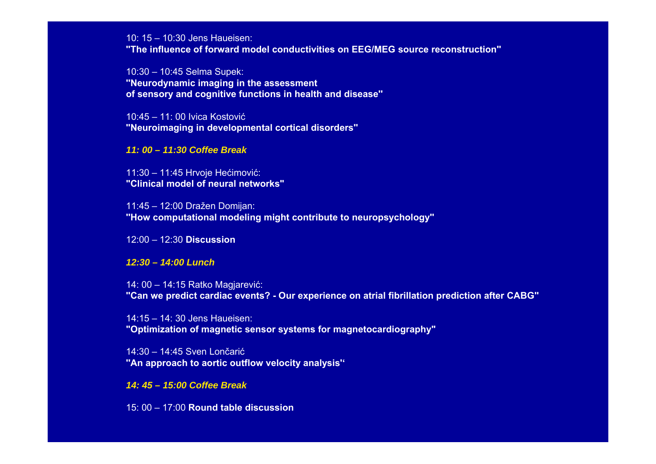10: 15 – 10:30 Jens Haueisen:

**''The influence of forward model conductivities on EEG/MEG source reconstruction''**

10:30 – 10:45 Selma Supek: **''Neurodynamic imaging in the assessment of sensory and cognitive functions in health and disease''**

10:45 – 11: 00 Ivica Kostović**''Neuroimaging in developmental cortical disorders''**

#### *11: 00 – 11:30 Coffee Break*

11:30 – 11:45 Hrvoje Hećimović: **"Clinical model of neural networks"**

11:45 – 12:00 Dražen Domijan: **''How computational modeling might contribute to neuropsychology''**

12:00 – 12:30 **Discussion**

*12:30 – 14:00 Lunch*

14: 00 – 14:15 Ratko Magjarević: "Can we predict cardiac events? - Our experience on atrial fibrillation prediction after CABG"

14:15 – 14: 30 Jens Haueisen:**"Optimization of magnetic sensor systems for magnetocardiography"**

14:30 – 14:45 Sven Lončarić**''An approach to aortic outflow velocity analysis''**

*14: 45 – 15:00 Coffee Break*

15: 00 – 17:00 **Round table discussion**